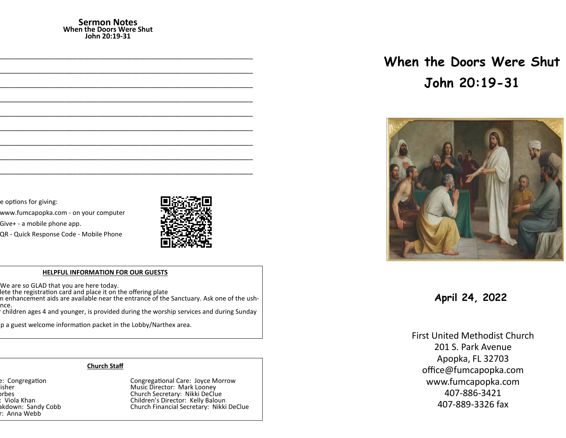#### **Sermon Notes When the Doors Were Shut John 20:19-31**

e options for giving:

www.fumcapopka.com - on your computer

Give+ - a mobile phone app.

QR - Quick Response Code - Mobile Phone



#### **HELPFUL INFORMATION FOR OUR GUESTS**

We are so GLAD that you are here today.

lete the registration card and place it on the offering plate

n enhancement aids are available near the entrance of the Sanctuary. Ask one of the ushnce.

children ages 4 and younger, is provided during the worship services and during Sunday

p a guest welcome information packet in the Lobby/Narthex area.

## **Church Staff**

r: Anna Webb

e: Congregation at Largestian Congregational Care: Joyce Morrow Pastor: John G. Fisher Music Director: Mark Looney orbes Church Secretary: Nikki DeClue<br>Children's Director: Kelly Baloui (Children's Director: Kelly Baloui ) Nursery Workers: Viola Khan Children's Director: Kelly Baloun Church Financial Secretary: Nikki DeClue

# **When the Doors Were Shut John 20:19-31**



**April 24, 2022**

First United Methodist Church 201 S. Park Avenue Apopka, FL 32703 office@fumcapopka.com www.fumcapopka.com 407-886-3421 407-889-3326 fax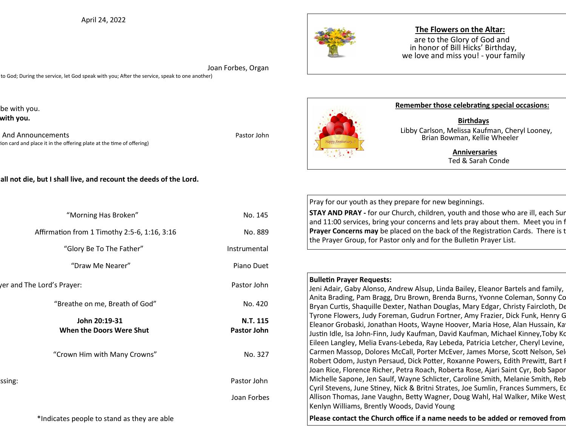April 24, 2022



# **The Flowers on the Altar:**

are to the Glory of God and in honor of Bill Hicks' Birthday, we love and miss you! - your family

 Joan Forbes, Organ to God; During the service, let God speak with you; After the service, speak to one another)

be with you. with you.

And Announcements **And Announcements Pastor John** ion card and place it in the offering plate at the time of offering)

## all not die, but I shall live, and recount the deeds of the Lord.

| "Morning Has Broken"                         | No. 145                 |
|----------------------------------------------|-------------------------|
| Affirmation from 1 Timothy 2:5-6, 1:16, 3:16 | No. 889                 |
| "Glory Be To The Father"                     | Instrumental            |
| "Draw Me Nearer"                             | Piano Duet              |
| er and The Lord's Prayer:                    | Pastor John             |
| "Breathe on me, Breath of God"               | No. 420                 |
| John 20:19-31<br>When the Doors Were Shut    | N.T. 115<br>Pastor John |
| "Crown Him with Many Crowns"                 | No. 327                 |
| ssing:                                       | Pastor John             |
|                                              | Joan Forbes             |
| *Indicates people to stand as they are able  |                         |



#### **Remember those celebrating special occasions:**

 **Birthdays** Libby Carlson, Melissa Kaufman, Cheryl Looney, Brian Bowman, Kellie Wheeler

> **Anniversaries** Ted & Sarah Conde

Pray for our youth as they prepare for new beginnings.

**STAY AND PRAY -** for our Church, children, youth and those who are ill, each Sur and 11:00 services, bring your concerns and lets pray about them. Meet you in f **Prayer Concerns may** be placed on the back of the Registration Cards. There is the Prayer and Prayer and Prayer Brayer Formation Cards. the Prayer Group, for Pastor only and for the Bulletin Prayer List.

#### **Bulletin Prayer Requests:**

Jeni Adair, Gaby Alonso, Andrew Alsup, Linda Bailey, Eleanor Bartels and family, Anita Brading, Pam Bragg, Dru Brown, Brenda Burns, Yvonne Coleman, Sonny Co Bryan Curtis, Shaquille Dexter, Nathan Douglas, Mary Edgar, Christy Faircloth, De Tyrone Flowers, Judy Foreman, Gudrun Fortner, Amy Frazier, Dick Funk, Henry G Eleanor Grobaski, Jonathan Hoots, Wayne Hoover, Maria Hose, Alan Hussain, Ka Justin Idle, Isa John-Finn, Judy Kaufman, David Kaufman, Michael Kinney,Toby Ko Eileen Langley, Melia Evans-Lebeda, Ray Lebeda, Patricia Letcher, Cheryl Levine, Carmen Massop, Dolores McCall, Porter McEver, James Morse, Scott Nelson, Sel Robert Odom, Justyn Persaud, Dick Potter, Roxanne Powers, Edith Prewitt, Bart I Joan Rice, Florence Richer, Petra Roach, Roberta Rose, Ajari Saint Cyr, Bob Sapor Michelle Sapone, Jen Saulf, Wayne Schlicter, Caroline Smith, Melanie Smith, Reb Cyril Stevens, June Stiney, Nick & Britni Strates, Joe Sumlin, Frances Summers, Eq Allison Thomas, Jane Vaughn, Betty Wagner, Doug Wahl, Hal Walker, Mike West Kenlyn Williams, Brently Woods, David Young

Please contact the Church office if a name needs to be added or removed from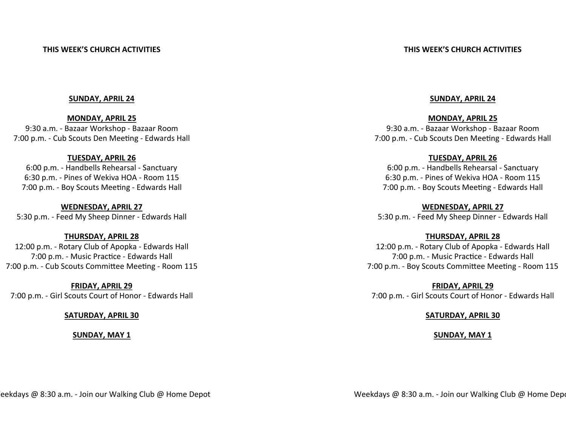## **THIS WEEK'S CHURCH ACTIVITIES**

#### **SUNDAY, APRIL 24**

**MONDAY, APRIL 25** 9:30 a.m. - Bazaar Workshop - Bazaar Room 7:00 p.m. - Cub Scouts Den Meeting - Edwards Hall

## **TUESDAY, APRIL 26**

6:00 p.m. - Handbells Rehearsal - Sanctuary 6:30 p.m. - Pines of Wekiva HOA - Room 115 7:00 p.m. - Boy Scouts Meeting - Edwards Hall

**WEDNESDAY, APRIL 27** 5:30 p.m. - Feed My Sheep Dinner - Edwards Hall

# **THURSDAY, APRIL 28**

12:00 p.m. - Rotary Club of Apopka - Edwards Hall 7:00 p.m. - Music Practice - Edwards Hall 7:00 p.m. - Cub Scouts Committee Meeting - Room 115

**FRIDAY, APRIL 29** 7:00 p.m. - Girl Scouts Court of Honor - Edwards Hall

# **SATURDAY, APRIL 30**

**SUNDAY, MAY 1**

# **SUNDAY, APRIL 24**

**MONDAY, APRIL 25** 9:30 a.m. - Bazaar Workshop - Bazaar Room 7:00 p.m. - Cub Scouts Den Meeting - Edwards Hall

# **TUESDAY, APRIL 26**

6:00 p.m. - Handbells Rehearsal - Sanctuary 6:30 p.m. - Pines of Wekiva HOA - Room 115 7:00 p.m. - Boy Scouts Meeting - Edwards Hall

**WEDNESDAY, APRIL 27** 5:30 p.m. - Feed My Sheep Dinner - Edwards Hall

# **THURSDAY, APRIL 28**

12:00 p.m. - Rotary Club of Apopka - Edwards Hall 7:00 p.m. - Music Practice - Edwards Hall 7:00 p.m. - Boy Scouts Committee Meeting - Room 115

**FRIDAY, APRIL 29** 7:00 p.m. - Girl Scouts Court of Honor - Edwards Hall

## **SATURDAY, APRIL 30**

## **SUNDAY, MAY 1**

eekdays @ 8:30 a.m. - Join our Walking Club @ Home Depot

Weekdays @ 8:30 a.m. - Join our Walking Club @ Home Depote